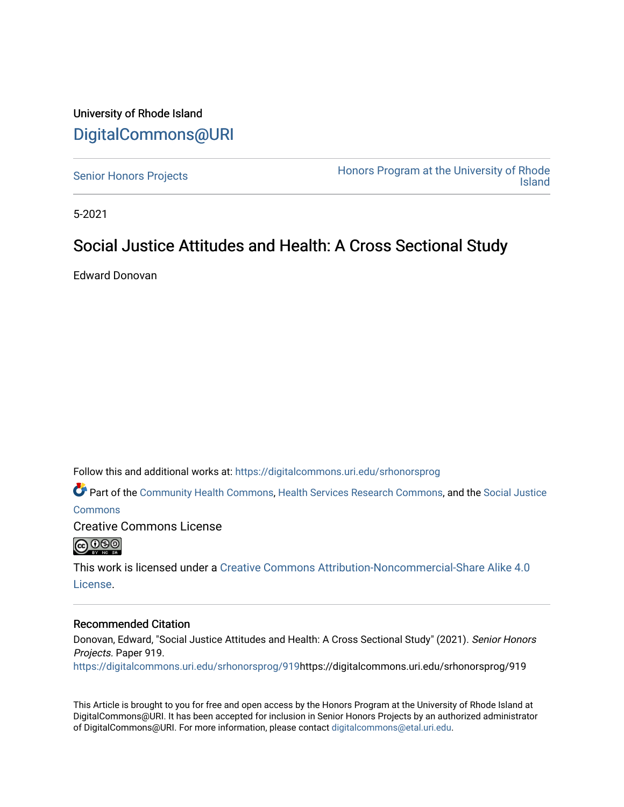### University of Rhode Island [DigitalCommons@URI](https://digitalcommons.uri.edu/)

[Senior Honors Projects](https://digitalcommons.uri.edu/srhonorsprog) **Honors Program at the University of Rhode** [Island](https://digitalcommons.uri.edu/honors_prog) 

5-2021

### Social Justice Attitudes and Health: A Cross Sectional Study

Edward Donovan

Follow this and additional works at: [https://digitalcommons.uri.edu/srhonorsprog](https://digitalcommons.uri.edu/srhonorsprog?utm_source=digitalcommons.uri.edu%2Fsrhonorsprog%2F919&utm_medium=PDF&utm_campaign=PDFCoverPages)

Part of the [Community Health Commons,](http://network.bepress.com/hgg/discipline/714?utm_source=digitalcommons.uri.edu%2Fsrhonorsprog%2F919&utm_medium=PDF&utm_campaign=PDFCoverPages) [Health Services Research Commons,](http://network.bepress.com/hgg/discipline/816?utm_source=digitalcommons.uri.edu%2Fsrhonorsprog%2F919&utm_medium=PDF&utm_campaign=PDFCoverPages) and the [Social Justice](http://network.bepress.com/hgg/discipline/1432?utm_source=digitalcommons.uri.edu%2Fsrhonorsprog%2F919&utm_medium=PDF&utm_campaign=PDFCoverPages) 

[Commons](http://network.bepress.com/hgg/discipline/1432?utm_source=digitalcommons.uri.edu%2Fsrhonorsprog%2F919&utm_medium=PDF&utm_campaign=PDFCoverPages)

Creative Commons License



This work is licensed under a [Creative Commons Attribution-Noncommercial-Share Alike 4.0](https://creativecommons.org/licenses/by-nc-sa/4.0/) [License.](https://creativecommons.org/licenses/by-nc-sa/4.0/)

### Recommended Citation

Donovan, Edward, "Social Justice Attitudes and Health: A Cross Sectional Study" (2021). Senior Honors Projects. Paper 919.

[https://digitalcommons.uri.edu/srhonorsprog/919](https://digitalcommons.uri.edu/srhonorsprog/919?utm_source=digitalcommons.uri.edu%2Fsrhonorsprog%2F919&utm_medium=PDF&utm_campaign=PDFCoverPages)https://digitalcommons.uri.edu/srhonorsprog/919

This Article is brought to you for free and open access by the Honors Program at the University of Rhode Island at DigitalCommons@URI. It has been accepted for inclusion in Senior Honors Projects by an authorized administrator of DigitalCommons@URI. For more information, please contact [digitalcommons@etal.uri.edu](mailto:digitalcommons@etal.uri.edu).